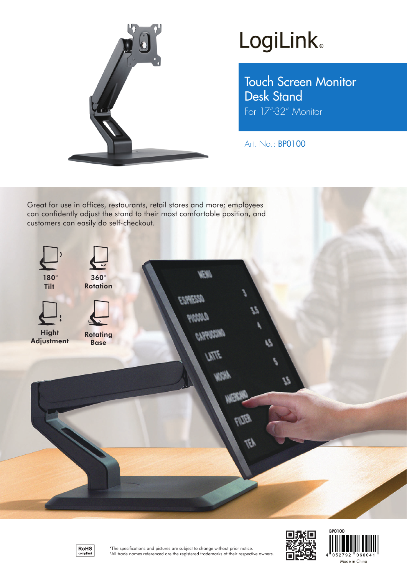

## LogiLink<sup>®</sup>

Touch Screen Monitor Desk Stand For 17"-32" Monitor

Art. No.: BP0100

Great for use in offices, restaurants, retail stores and more; employees can confidently adjust the stand to their most comfortable position, and customers can easily do self-checkout.







**BP0100** 

 $052792$ 

0600 Made in China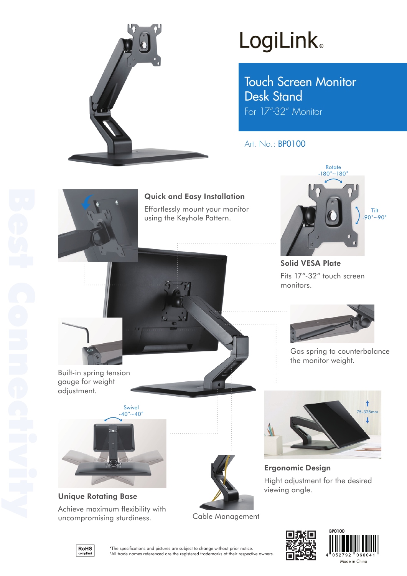

# **LogiLink**

Touch Screen Monitor Desk Stand For 17"-32" Monitor

Art. No.: BP0100



Quick and Easy Installation Effortlessly mount your monitor

using the Keyhole Pattern.



Solid VESA Plate Fits 17"-32" touch screen monitors.



Gas spring to counterbalance the monitor weight.

1

J

Built-in spring tension gauge for weight adjustment.



Unique Rotating Base Achieve maximum flexibility with uncompromising sturdiness.



Cable Management



Ergonomic Design

viewing angle.

Hight adjustment for the desired